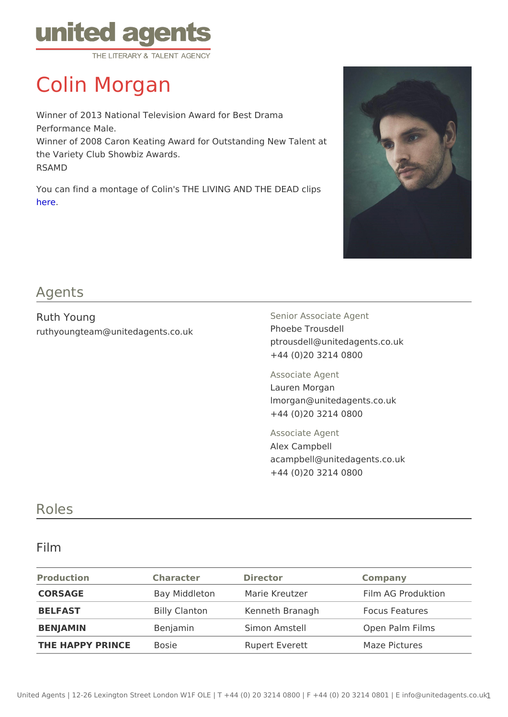# Colin Morgan

Winner of 2013 National Television Award for Best Drama Performance Male. Winner of 2008 Caron Keating Award for Outstanding New Talent the Variety Club Showbiz Awards. RSAMD

You can find a montage of Colin's THE LIVING AND THE DEAD clips [her](https://vimeo.com/200168636/75ac8ee368)e.

### Agents

| Ruth Young<br>ruthyoungteam@unitedagents.co.uk | Senior Associate Agent<br>Phoebe Trousdell<br>ptrousdell@unitedagents.co.uk<br>+44 (0)20 3214 0800 |  |
|------------------------------------------------|----------------------------------------------------------------------------------------------------|--|
|                                                | Associate Agent<br>Lauren Morgan<br>Imorgan@unitedagents.co.uk<br>+44 (0)20 3214 0800              |  |
|                                                | Associate Agent<br>Alex Campbell<br>acampbell@unitedagents.co.uk<br>+44 (0)20 3214 0800            |  |

## Roles

### Film

| Production            | Character | Director                      | Company            |
|-----------------------|-----------|-------------------------------|--------------------|
| CORSAGE               |           | Bay Middleton Marie Kreutzer  | Film AG Produktion |
| <b>BELFAST</b>        |           | Billy Clanton Kenneth Branagh | Focus Features     |
| BENJAMIN              | Benjamin  | Simon Amstell                 | Open Palm Films    |
| THE HAPPY PRINC Bosie |           | Rupert Everett                | Maze Pictures      |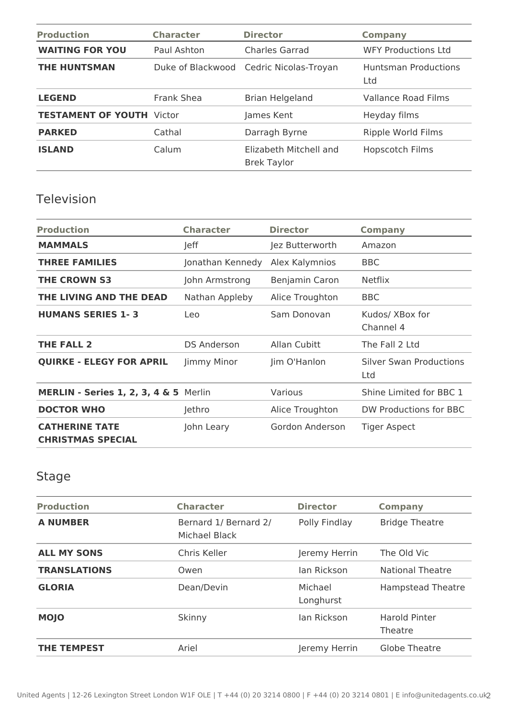| <b>Production</b>                | <b>Character</b> | <b>Director</b>                              | <b>Company</b>                     |
|----------------------------------|------------------|----------------------------------------------|------------------------------------|
| <b>WAITING FOR YOU</b>           | Paul Ashton      | <b>Charles Garrad</b>                        | <b>WFY Productions Ltd</b>         |
| <b>THE HUNTSMAN</b>              |                  | Duke of Blackwood Cedric Nicolas-Troyan      | <b>Huntsman Productions</b><br>Ltd |
| <b>LEGEND</b>                    | Frank Shea       | <b>Brian Helgeland</b>                       | <b>Vallance Road Films</b>         |
| <b>TESTAMENT OF YOUTH Victor</b> |                  | James Kent                                   | Heyday films                       |
| <b>PARKED</b>                    | Cathal           | Darragh Byrne                                | Ripple World Films                 |
| <b>ISLAND</b>                    | Calum            | Elizabeth Mitchell and<br><b>Brek Taylor</b> | Hopscotch Films                    |

## Television

| <b>Production</b>                                 | <b>Character</b>   | <b>Director</b> | <b>Company</b>                 |
|---------------------------------------------------|--------------------|-----------------|--------------------------------|
| <b>MAMMALS</b>                                    | Jeff               | Jez Butterworth | Amazon                         |
| <b>THREE FAMILIES</b>                             | Jonathan Kennedy   | Alex Kalymnios  | <b>BBC</b>                     |
| <b>THE CROWN S3</b>                               | John Armstrong     | Benjamin Caron  | <b>Netflix</b>                 |
| THE LIVING AND THE DEAD                           | Nathan Appleby     | Alice Troughton | <b>BBC</b>                     |
| <b>HUMANS SERIES 1-3</b>                          | Leo                | Sam Donovan     | Kudos/ XBox for<br>Channel 4   |
| <b>THE FALL 2</b>                                 | <b>DS Anderson</b> | Allan Cubitt    | The Fall 2 Ltd                 |
| <b>QUIRKE - ELEGY FOR APRIL</b>                   | Jimmy Minor        | Jim O'Hanlon    | Silver Swan Productions<br>Ltd |
| MERLIN - Series 1, 2, 3, 4 & 5 Merlin             |                    | Various         | Shine Limited for BBC 1        |
| <b>DOCTOR WHO</b>                                 | Jethro             | Alice Troughton | DW Productions for BBC         |
| <b>CATHERINE TATE</b><br><b>CHRISTMAS SPECIAL</b> | John Leary         | Gordon Anderson | <b>Tiger Aspect</b>            |

# Stage

| <b>Production</b>   | <b>Character</b>                       | <b>Director</b>      | <b>Company</b>                  |
|---------------------|----------------------------------------|----------------------|---------------------------------|
| <b>A NUMBER</b>     | Bernard 1/ Bernard 2/<br>Michael Black | Polly Findlay        | <b>Bridge Theatre</b>           |
| <b>ALL MY SONS</b>  | Chris Keller                           | Jeremy Herrin        | The Old Vic                     |
| <b>TRANSLATIONS</b> | Owen                                   | lan Rickson          | National Theatre                |
| <b>GLORIA</b>       | Dean/Devin                             | Michael<br>Longhurst | <b>Hampstead Theatre</b>        |
| <b>MOJO</b>         | Skinny                                 | lan Rickson          | <b>Harold Pinter</b><br>Theatre |
| <b>THE TEMPEST</b>  | Ariel                                  | Jeremy Herrin        | Globe Theatre                   |